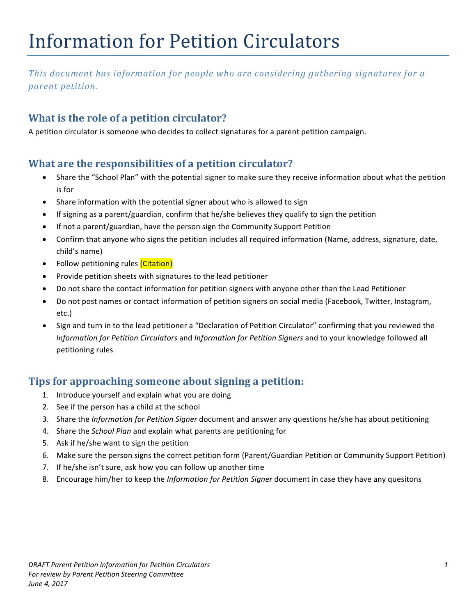# Information for Petition Circulators

This document has information for people who are considering gathering signatures for a *parent petition.*

## **What is the role of a petition circulator?**

A petition circulator is someone who decides to collect signatures for a parent petition campaign.

#### **What are the responsibilities of a petition circulator?**

- Share the "School Plan" with the potential signer to make sure they receive information about what the petition is for
- Share information with the potential signer about who is allowed to sign
- If signing as a parent/guardian, confirm that he/she believes they qualify to sign the petition
- If not a parent/guardian, have the person sign the Community Support Petition
- Confirm that anyone who signs the petition includes all required information (Name, address, signature, date, child's name)
- **Follow petitioning rules** *(Citation)*
- Provide petition sheets with signatures to the lead petitioner
- Do not share the contact information for petition signers with anyone other than the Lead Petitioner
- Do not post names or contact information of petition signers on social media (Facebook, Twitter, Instagram, etc.)
- Sign and turn in to the lead petitioner a "Declaration of Petition Circulator" confirming that you reviewed the *Information for Petition Circulators* and *Information for Petition Signers* and to your knowledge followed all petitioning rules

#### **Tips for approaching someone about signing a petition:**

- 1. Introduce yourself and explain what you are doing
- 2. See if the person has a child at the school
- 3. Share the *Information for Petition Signer* document and answer any questions he/she has about petitioning
- 4. Share the *School Plan* and explain what parents are petitioning for
- 5. Ask if he/she want to sign the petition
- 6. Make sure the person signs the correct petition form (Parent/Guardian Petition or Community Support Petition)
- 7. If he/she isn't sure, ask how you can follow up another time
- 8. Encourage him/her to keep the *Information for Petition Signer* document in case they have any quesitons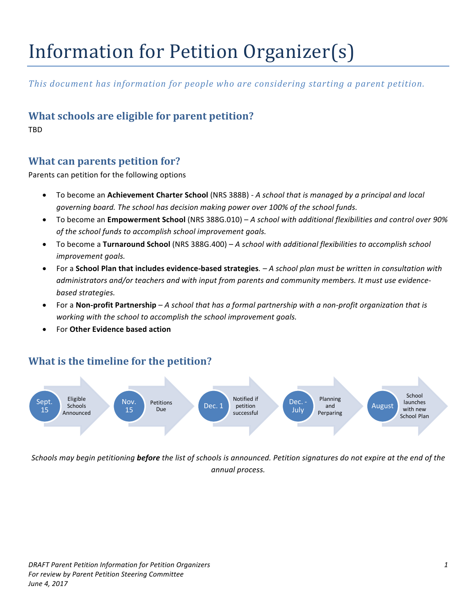# Information for Petition Organizer(s)

This document has information for people who are considering starting a parent petition.

## **What schools are eligible for parent petition?**

TBD

#### **What can parents petition for?**

Parents can petition for the following options

- To become an **Achievement Charter School** (NRS 388B)  *A school that is managed by a principal and local* governing board. The school has decision making power over 100% of the school funds.
- To become an **Empowerment School** (NRS 388G.010) *A school with additional flexibilities and control over 90%* of the school funds to accomplish school improvement goals.
- To become a Turnaround School (NRS 388G.400) *A school with additional flexibilities to accomplish school improvement goals.*
- For a **School Plan that includes evidence-based strategies**.  $-A$  *school plan must be written in consultation with* administrators and/or teachers and with input from parents and community members. It must use evidence*based strategies.*
- For a **Non-profit Partnership** *A school that has a formal partnership with a non-profit organization that is* working with the school to accomplish the school improvement goals.
- For **Other Evidence based action**

#### **What is the timeline for the petition?**



*Schools* may begin petitioning **before** the list of schools is announced. Petition signatures do not expire at the end of the *annual process.*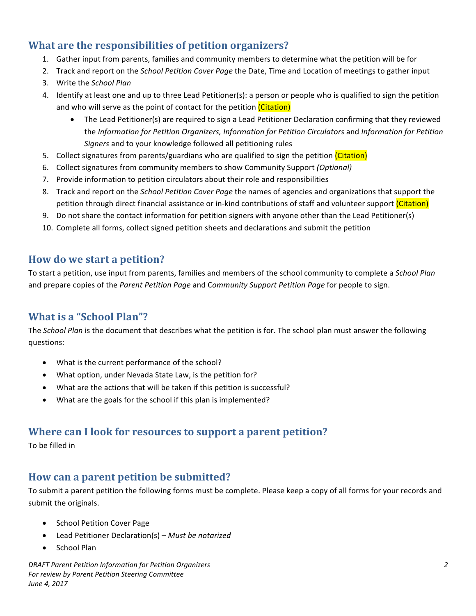## **What are the responsibilities of petition organizers?**

- 1. Gather input from parents, families and community members to determine what the petition will be for
- 2. Track and report on the *School Petition Cover Page* the Date, Time and Location of meetings to gather input
- 3. Write the *School Plan*
- 4. Identify at least one and up to three Lead Petitioner(s): a person or people who is qualified to sign the petition and who will serve as the point of contact for the petition (Citation)
	- The Lead Petitioner(s) are required to sign a Lead Petitioner Declaration confirming that they reviewed the *Information for Petition Organizers, Information for Petition Circulators* and *Information for Petition* Signers and to your knowledge followed all petitioning rules
- 5. Collect signatures from parents/guardians who are qualified to sign the petition (Citation)
- 6. Collect signatures from community members to show Community Support *(Optional)*
- 7. Provide information to petition circulators about their role and responsibilities
- 8. Track and report on the *School Petition Cover Page* the names of agencies and organizations that support the petition through direct financial assistance or in-kind contributions of staff and volunteer support (Citation)
- 9. Do not share the contact information for petition signers with anyone other than the Lead Petitioner(s)
- 10. Complete all forms, collect signed petition sheets and declarations and submit the petition

#### **How do we start a petition?**

To start a petition, use input from parents, families and members of the school community to complete a *School Plan* and prepare copies of the *Parent Petition Page* and Community Support Petition Page for people to sign.

## **What is a "School Plan"?**

The *School Plan* is the document that describes what the petition is for. The school plan must answer the following questions:

- What is the current performance of the school?
- What option, under Nevada State Law, is the petition for?
- What are the actions that will be taken if this petition is successful?
- $\bullet$  What are the goals for the school if this plan is implemented?

#### **Where can I look for resources to support a parent petition?**

To be filled in

#### **How can a parent petition be submitted?**

To submit a parent petition the following forms must be complete. Please keep a copy of all forms for your records and submit the originals.

- School Petition Cover Page
- Lead Petitioner Declaration(s) *Must be notarized*
- School Plan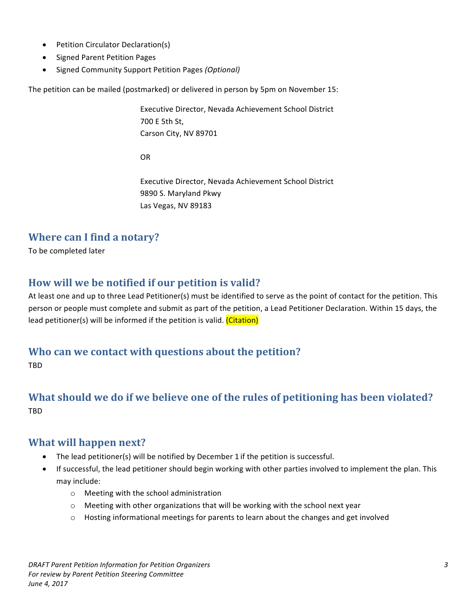- Petition Circulator Declaration(s)
- Signed Parent Petition Pages
- Signed Community Support Petition Pages *(Optional)*

The petition can be mailed (postmarked) or delivered in person by 5pm on November 15:

Executive Director, Nevada Achievement School District 700 E 5th St, Carson City, NV 89701

OR

Executive Director, Nevada Achievement School District 9890 S. Maryland Pkwy Las Vegas, NV 89183

#### **Where can I find a notary?**

To be completed later

#### How will we be notified if our petition is valid?

At least one and up to three Lead Petitioner(s) must be identified to serve as the point of contact for the petition. This person or people must complete and submit as part of the petition, a Lead Petitioner Declaration. Within 15 days, the lead petitioner(s) will be informed if the petition is valid. (Citation)

#### Who can we contact with questions about the petition?

TBD

## **What should we do if we believe one of the rules of petitioning has been violated?** TBD

#### **What will happen next?**

- The lead petitioner(s) will be notified by December 1 if the petition is successful.
- If successful, the lead petitioner should begin working with other parties involved to implement the plan. This may include:
	- $\circ$  Meeting with the school administration
	- $\circ$  Meeting with other organizations that will be working with the school next year
	- $\circ$  Hosting informational meetings for parents to learn about the changes and get involved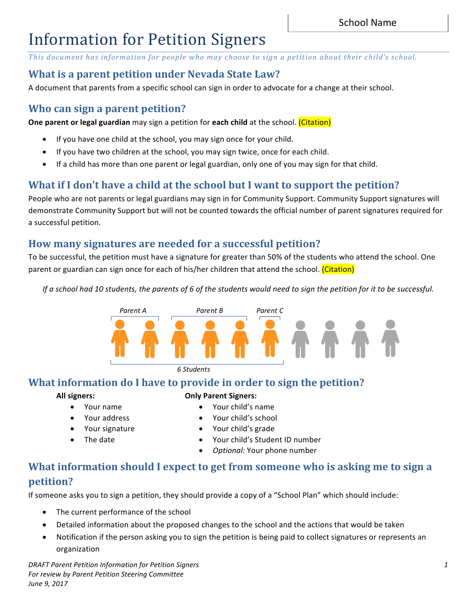## Information for Petition Signers

This document has information for people who may choose to sign a petition about their child's school.

#### **What is a parent petition under Nevada State Law?**

A document that parents from a specific school can sign in order to advocate for a change at their school.

#### **Who can sign a parent petition?**

**One parent or legal guardian** may sign a petition for **each child** at the school. (Citation)

- If you have one child at the school, you may sign once for your child.
- If you have two children at the school, you may sign twice, once for each child.
- If a child has more than one parent or legal guardian, only one of you may sign for that child.

## **What if I don't have a child at the school but I want to support the petition?**

People who are not parents or legal guardians may sign in for Community Support. Community Support signatures will demonstrate Community Support but will not be counted towards the official number of parent signatures required for a successful petition.

#### How many signatures are needed for a successful petition?

To be successful, the petition must have a signature for greater than 50% of the students who attend the school. One parent or guardian can sign once for each of his/her children that attend the school. (Citation)

*If* a school had 10 students, the parents of 6 of the students would need to sign the petition for it to be successful.



*6 Students*

#### **What information do I have to provide in order to sign the petition?**

#### **All signers:**

- **Only Parent Signers:**
	- Your child's name
		- Your child's school
		- Your child's grade

The date

• Your name Your address Your signature

> • Your child's Student ID number **Optional: Your phone number**

## What information should I expect to get from someone who is asking me to sign a **petition?**

If someone asks you to sign a petition, they should provide a copy of a "School Plan" which should include:

- The current performance of the school
- Detailed information about the proposed changes to the school and the actions that would be taken
- Notification if the person asking you to sign the petition is being paid to collect signatures or represents an organization

*DRAFT Parent Petition Information for Petition Signers 1* For review by Parent Petition Steering Committee *June 9, 2017*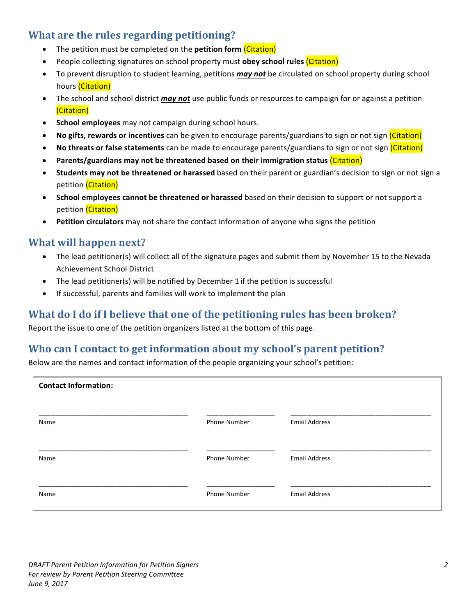## **What are the rules regarding petitioning?**

- The petition must be completed on the **petition form** (Citation)
- People collecting signatures on school property must **obey school rules** (Citation)
- To prevent disruption to student learning, petitions *may not* be circulated on school property during school hours (Citation)
- The school and school district *may not* use public funds or resources to campaign for or against a petition (Citation)
- **School employees** may not campaign during school hours.
- **No gifts, rewards or incentives** can be given to encourage parents/guardians to sign or not sign (Citation)
- **No threats or false statements** can be made to encourage parents/guardians to sign or not sign (Citation)
- **Parents/guardians may not be threatened based on their immigration status (Citation)**
- **Students may not be threatened or harassed** based on their parent or guardian's decision to sign or not sign a petition (Citation)
- **School employees cannot be threatened or harassed** based on their decision to support or not support a petition (Citation)
- Petition circulators may not share the contact information of anyone who signs the petition

#### **What will happen next?**

- The lead petitioner(s) will collect all of the signature pages and submit them by November 15 to the Nevada Achievement School District
- The lead petitioner(s) will be notified by December 1 if the petition is successful
- If successful, parents and families will work to implement the plan

#### **What do I do if I believe that one of the petitioning rules has been broken?**

Report the issue to one of the petition organizers listed at the bottom of this page.

#### **Who can I contact to get information about my school's parent petition?**

Below are the names and contact information of the people organizing your school's petition:

| <b>Contact Information:</b> |                     |                      |
|-----------------------------|---------------------|----------------------|
| Name                        | <b>Phone Number</b> | <b>Email Address</b> |
| Name                        | Phone Number        | <b>Email Address</b> |
| Name                        | Phone Number        | <b>Email Address</b> |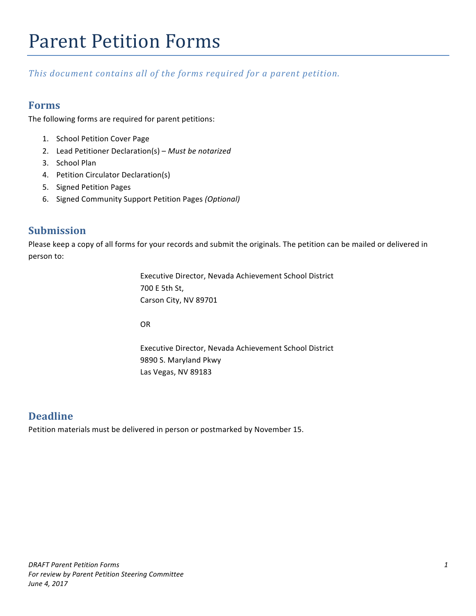## **Parent Petition Forms**

This document contains all of the forms required for a parent petition.

#### **Forms**

The following forms are required for parent petitions:

- 1. School Petition Cover Page
- 2. Lead Petitioner Declaration(s) Must be notarized
- 3. School Plan
- 4. Petition Circulator Declaration(s)
- 5. Signed Petition Pages
- 6. Signed Community Support Petition Pages *(Optional)*

#### **Submission**

Please keep a copy of all forms for your records and submit the originals. The petition can be mailed or delivered in person to:

> Executive Director, Nevada Achievement School District 700 E 5th St, Carson City, NV 89701

OR

Executive Director, Nevada Achievement School District 9890 S. Maryland Pkwy Las Vegas, NV 89183

#### **Deadline**

Petition materials must be delivered in person or postmarked by November 15.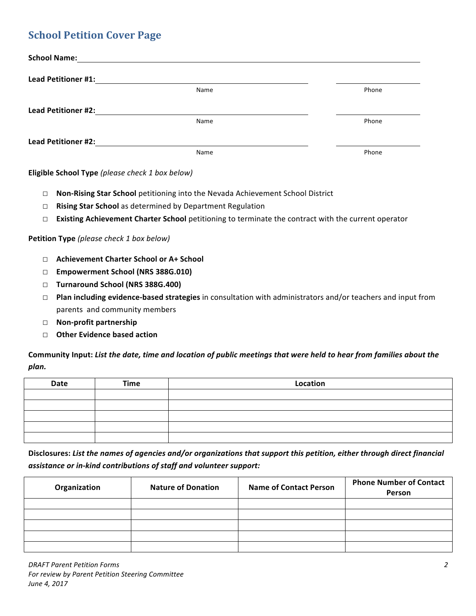## **School Petition Cover Page**

| <b>School Name:</b>        |      |       |
|----------------------------|------|-------|
| <b>Lead Petitioner #1:</b> |      |       |
|                            | Name | Phone |
| <b>Lead Petitioner #2:</b> |      |       |
|                            | Name | Phone |
| <b>Lead Petitioner #2:</b> |      |       |
|                            | Name | Phone |

**Eligible School Type** *(please check 1 box below)*

- □ **Non-Rising Star School** petitioning into the Nevada Achievement School District
- □ **Rising Star School** as determined by Department Regulation
- □ **Existing Achievement Charter School** petitioning to terminate the contract with the current operator

#### **Petition Type** (please check 1 box below)

- □ **Achievement Charter School or A+ School**
- □ **Empowerment School (NRS 388G.010)**
- □ **Turnaround School (NRS 388G.400)**
- □ **Plan including evidence-based strategies** in consultation with administrators and/or teachers and input from parents and community members
- □ **Non-profit partnership**
- □ Other Evidence based action

Community Input: List the date, time and location of public meetings that were held to hear from families about the *plan.*

| <b>Date</b> | <b>Time</b> | Location |
|-------------|-------------|----------|
|             |             |          |
|             |             |          |
|             |             |          |
|             |             |          |
|             |             |          |

Disclosures: List the names of agencies and/or organizations that support this petition, either through direct financial assistance or in-kind contributions of staff and volunteer support:

| Organization | <b>Nature of Donation</b> | <b>Name of Contact Person</b> | <b>Phone Number of Contact</b><br>Person |  |
|--------------|---------------------------|-------------------------------|------------------------------------------|--|
|              |                           |                               |                                          |  |
|              |                           |                               |                                          |  |
|              |                           |                               |                                          |  |
|              |                           |                               |                                          |  |
|              |                           |                               |                                          |  |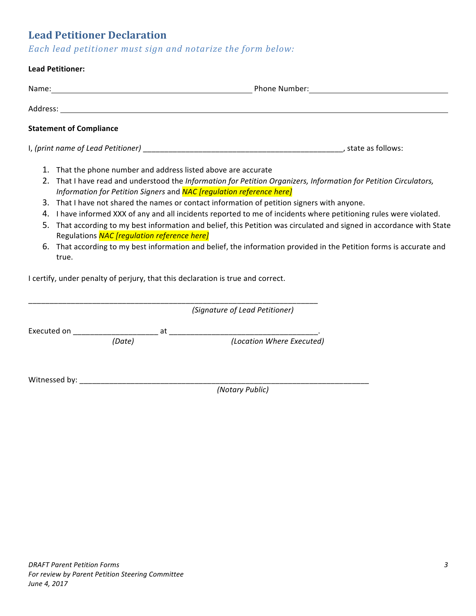## **Lead Petitioner Declaration**

*Each lead petitioner must sign and notarize the form below:*

## **Lead Petitioner:** Name: Name: Name: Name: Name: Name: Name: Name: Name: Name: Name: Name: Name: Name: Name: Name: Name: Name: Name: Name: Name: Name: Name: Name: Name: Name: Name: Name: Name: Name: Name: Name: Name: Name: Name: Name: Name: Address: **Statement of Compliance** I, *(print name of Lead Petitioner)* \_\_\_\_\_\_\_\_\_\_\_\_\_\_\_\_\_\_\_\_\_\_\_\_\_\_\_\_\_\_\_\_\_\_\_\_\_\_\_\_\_\_\_\_\_\_\_, state as follows: 1. That the phone number and address listed above are accurate 2. That I have read and understood the *Information for Petition Organizers, Information for Petition Circulators, Information for Petition Signers* and **NAC** [regulation reference here] 3. That I have not shared the names or contact information of petition signers with anyone. 4. I have informed XXX of any and all incidents reported to me of incidents where petitioning rules were violated. 5. That according to my best information and belief, this Petition was circulated and signed in accordance with State Regulations *NAC [regulation reference here]* 6. That according to my best information and belief, the information provided in the Petition forms is accurate and true. I certify, under penalty of perjury, that this declaration is true and correct. \_\_\_\_\_\_\_\_\_\_\_\_\_\_\_\_\_\_\_\_\_\_\_\_\_\_\_\_\_\_\_\_\_\_\_\_\_\_\_\_\_\_\_\_\_\_\_\_\_\_\_\_\_\_\_\_\_\_\_\_\_\_\_\_\_\_\_\_ *(Signature of Lead Petitioner)*

|             | $\beta$ |    |                           |  |
|-------------|---------|----|---------------------------|--|
| Executed on |         | at |                           |  |
|             | (Date)  |    | (Location Where Executed) |  |
|             |         |    |                           |  |
|             |         |    |                           |  |

Witnessed by: \_\_\_\_\_\_\_\_\_\_\_\_\_\_\_\_\_\_\_\_\_\_\_\_\_\_\_\_\_\_\_\_\_\_\_\_\_\_\_\_\_\_\_\_\_\_\_\_\_\_\_\_\_\_\_\_\_\_\_\_\_\_\_\_\_\_\_\_

*(Notary Public)*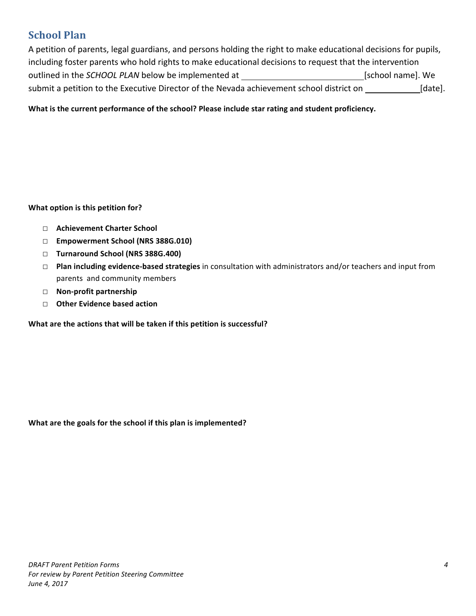## **School Plan**

A petition of parents, legal guardians, and persons holding the right to make educational decisions for pupils, including foster parents who hold rights to make educational decisions to request that the intervention outlined in the *SCHOOL PLAN* below be implemented at [school name]. We submit a petition to the Executive Director of the Nevada achievement school district on [date].

What is the current performance of the school? Please include star rating and student proficiency.

#### **What option is this petition for?**

- □ **Achievement Charter School**
- □ **Empowerment School (NRS 388G.010)**
- □ **Turnaround School (NRS 388G.400)**
- □ **Plan including evidence-based strategies** in consultation with administrators and/or teachers and input from parents and community members
- □ **Non-profit partnership**
- □ Other Evidence based action

What are the actions that will be taken if this petition is successful?

What are the goals for the school if this plan is implemented?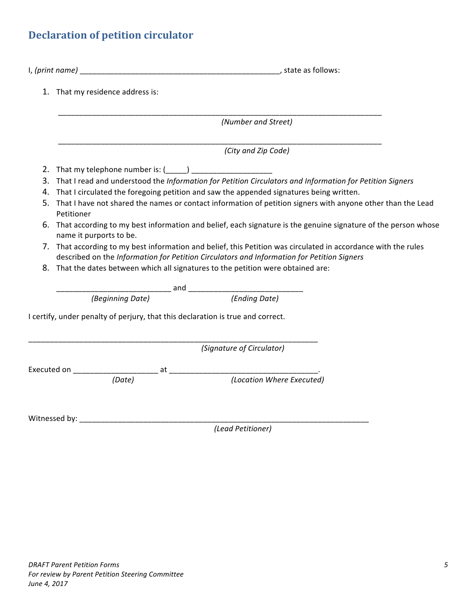## **Declaration of petition circulator**

|                                                                                                                                                                                                              | 1. That my residence address is:                                                                                                            |  |  |  |  |  |
|--------------------------------------------------------------------------------------------------------------------------------------------------------------------------------------------------------------|---------------------------------------------------------------------------------------------------------------------------------------------|--|--|--|--|--|
|                                                                                                                                                                                                              | (Number and Street)                                                                                                                         |  |  |  |  |  |
|                                                                                                                                                                                                              | (City and Zip Code)                                                                                                                         |  |  |  |  |  |
|                                                                                                                                                                                                              | 2. That my telephone number is: (_____) _____________________                                                                               |  |  |  |  |  |
|                                                                                                                                                                                                              | 3. That I read and understood the Information for Petition Circulators and Information for Petition Signers                                 |  |  |  |  |  |
|                                                                                                                                                                                                              | 4. That I circulated the foregoing petition and saw the appended signatures being written.                                                  |  |  |  |  |  |
|                                                                                                                                                                                                              | 5. That I have not shared the names or contact information of petition signers with anyone other than the Lead<br>Petitioner                |  |  |  |  |  |
|                                                                                                                                                                                                              | 6. That according to my best information and belief, each signature is the genuine signature of the person whose<br>name it purports to be. |  |  |  |  |  |
| 7. That according to my best information and belief, this Petition was circulated in accordance with the rules<br>described on the Information for Petition Circulators and Information for Petition Signers |                                                                                                                                             |  |  |  |  |  |
|                                                                                                                                                                                                              | 8. That the dates between which all signatures to the petition were obtained are:                                                           |  |  |  |  |  |
|                                                                                                                                                                                                              |                                                                                                                                             |  |  |  |  |  |
|                                                                                                                                                                                                              |                                                                                                                                             |  |  |  |  |  |
|                                                                                                                                                                                                              | I certify, under penalty of perjury, that this declaration is true and correct.                                                             |  |  |  |  |  |
|                                                                                                                                                                                                              | (Signature of Circulator)                                                                                                                   |  |  |  |  |  |
|                                                                                                                                                                                                              |                                                                                                                                             |  |  |  |  |  |
|                                                                                                                                                                                                              |                                                                                                                                             |  |  |  |  |  |
|                                                                                                                                                                                                              |                                                                                                                                             |  |  |  |  |  |
|                                                                                                                                                                                                              | (Lead Petitioner)                                                                                                                           |  |  |  |  |  |